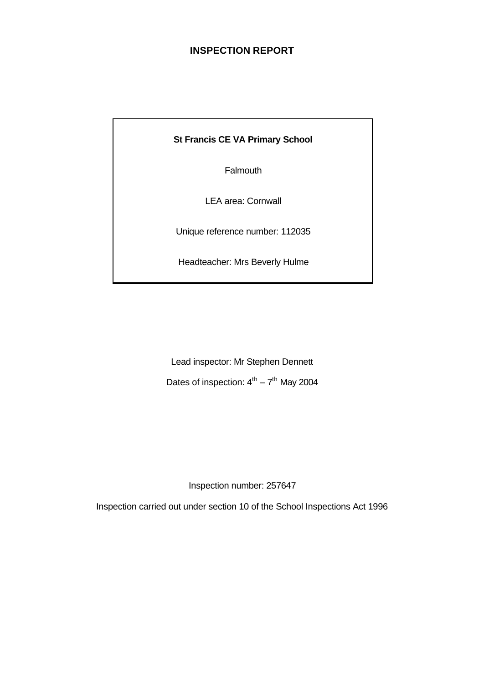# **INSPECTION REPORT**

**St Francis CE VA Primary School**

Falmouth

LEA area: Cornwall

Unique reference number: 112035

Headteacher: Mrs Beverly Hulme

Lead inspector: Mr Stephen Dennett Dates of inspection:  $4^{th} - 7^{th}$  May 2004

Inspection number: 257647

Inspection carried out under section 10 of the School Inspections Act 1996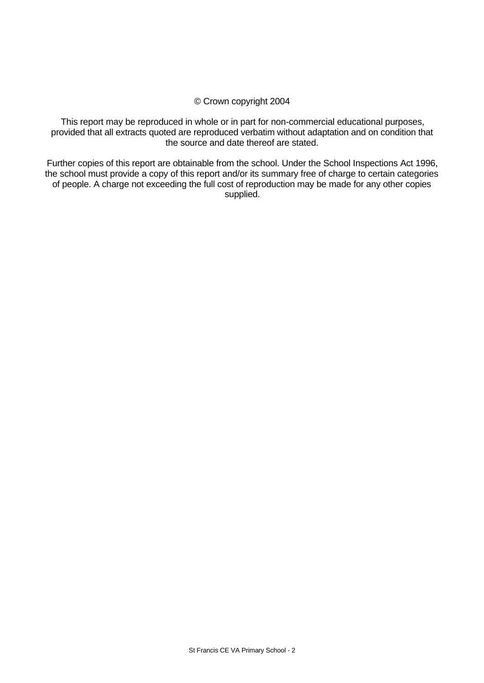# © Crown copyright 2004

This report may be reproduced in whole or in part for non-commercial educational purposes, provided that all extracts quoted are reproduced verbatim without adaptation and on condition that the source and date thereof are stated.

Further copies of this report are obtainable from the school. Under the School Inspections Act 1996, the school must provide a copy of this report and/or its summary free of charge to certain categories of people. A charge not exceeding the full cost of reproduction may be made for any other copies supplied.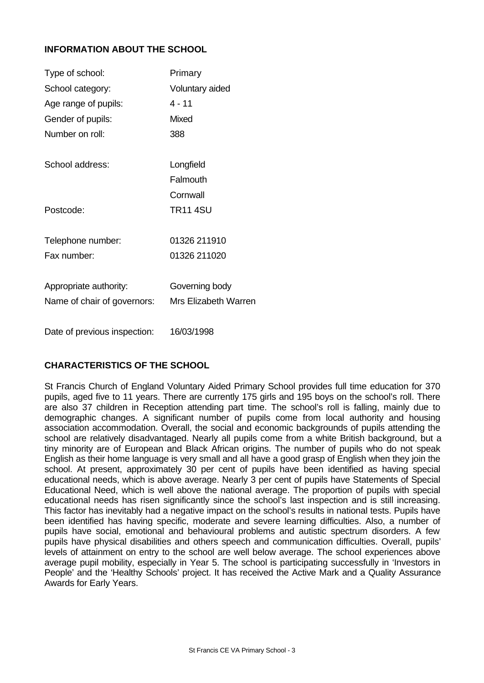# **INFORMATION ABOUT THE SCHOOL**

| Type of school:              | Primary                     |
|------------------------------|-----------------------------|
| School category:             | Voluntary aided             |
| Age range of pupils:         | $4 - 11$                    |
| Gender of pupils:            | Mixed                       |
| Number on roll:              | 388                         |
| School address:              | Longfield                   |
|                              | Falmouth                    |
|                              | Cornwall                    |
| Postcode:                    | <b>TR11 4SU</b>             |
| Telephone number:            | 01326 211910                |
| Fax number:                  | 01326 211020                |
| Appropriate authority:       | Governing body              |
| Name of chair of governors:  | <b>Mrs Elizabeth Warren</b> |
| Date of previous inspection: | 16/03/1998                  |

# **CHARACTERISTICS OF THE SCHOOL**

St Francis Church of England Voluntary Aided Primary School provides full time education for 370 pupils, aged five to 11 years. There are currently 175 girls and 195 boys on the school's roll. There are also 37 children in Reception attending part time. The school's roll is falling, mainly due to demographic changes. A significant number of pupils come from local authority and housing association accommodation. Overall, the social and economic backgrounds of pupils attending the school are relatively disadvantaged. Nearly all pupils come from a white British background, but a tiny minority are of European and Black African origins. The number of pupils who do not speak English as their home language is very small and all have a good grasp of English when they join the school. At present, approximately 30 per cent of pupils have been identified as having special educational needs, which is above average. Nearly 3 per cent of pupils have Statements of Special Educational Need, which is well above the national average. The proportion of pupils with special educational needs has risen significantly since the school's last inspection and is still increasing. This factor has inevitably had a negative impact on the school's results in national tests. Pupils have been identified has having specific, moderate and severe learning difficulties. Also, a number of pupils have social, emotional and behavioural problems and autistic spectrum disorders. A few pupils have physical disabilities and others speech and communication difficulties. Overall, pupils' levels of attainment on entry to the school are well below average. The school experiences above average pupil mobility, especially in Year 5. The school is participating successfully in 'Investors in People' and the 'Healthy Schools' project. It has received the Active Mark and a Quality Assurance Awards for Early Years.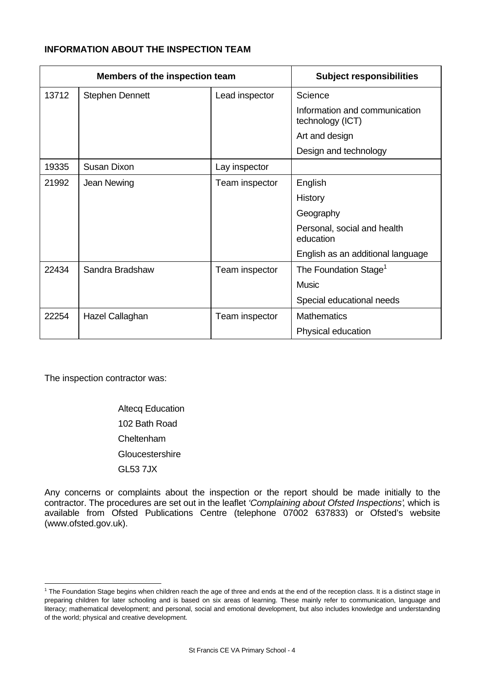# **INFORMATION ABOUT THE INSPECTION TEAM**

| Members of the inspection team |                        | <b>Subject responsibilities</b> |                                                   |
|--------------------------------|------------------------|---------------------------------|---------------------------------------------------|
| 13712                          | <b>Stephen Dennett</b> | Lead inspector                  | Science                                           |
|                                |                        |                                 | Information and communication<br>technology (ICT) |
|                                |                        |                                 | Art and design                                    |
|                                |                        |                                 | Design and technology                             |
| 19335                          | Susan Dixon            | Lay inspector                   |                                                   |
| 21992                          | Jean Newing            | Team inspector                  | English                                           |
|                                |                        |                                 | History                                           |
|                                |                        |                                 | Geography                                         |
|                                |                        |                                 | Personal, social and health<br>education          |
|                                |                        |                                 | English as an additional language                 |
| 22434                          | Sandra Bradshaw        | Team inspector                  | The Foundation Stage <sup>1</sup>                 |
|                                |                        |                                 | Music                                             |
|                                |                        |                                 | Special educational needs                         |
| 22254                          | Hazel Callaghan        | Team inspector                  | <b>Mathematics</b>                                |
|                                |                        |                                 | Physical education                                |

The inspection contractor was:

l

Altecq Education 102 Bath Road Cheltenham **Gloucestershire** GL53 7JX

Any concerns or complaints about the inspection or the report should be made initially to the contractor. The procedures are set out in the leaflet *'Complaining about Ofsted Inspections'*, which is available from Ofsted Publications Centre (telephone 07002 637833) or Ofsted's website (www.ofsted.gov.uk).

 $1$  The Foundation Stage begins when children reach the age of three and ends at the end of the reception class. It is a distinct stage in preparing children for later schooling and is based on six areas of learning. These mainly refer to communication, language and literacy; mathematical development; and personal, social and emotional development, but also includes knowledge and understanding of the world; physical and creative development.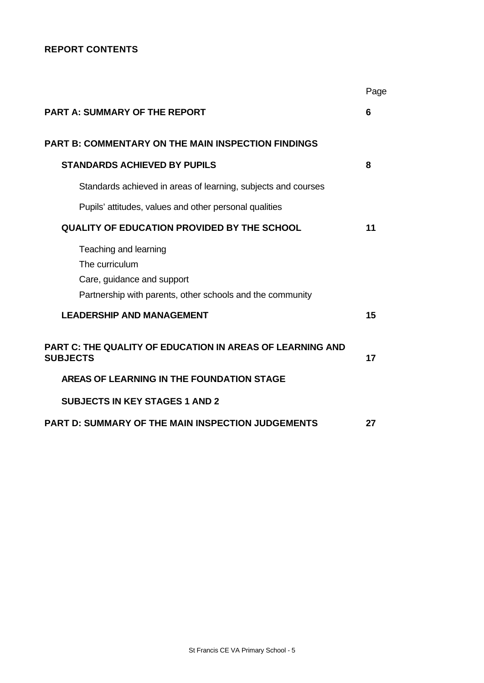# **REPORT CONTENTS**

|                                                                                                                                    | Page |
|------------------------------------------------------------------------------------------------------------------------------------|------|
| <b>PART A: SUMMARY OF THE REPORT</b>                                                                                               | 6    |
| <b>PART B: COMMENTARY ON THE MAIN INSPECTION FINDINGS</b>                                                                          |      |
| <b>STANDARDS ACHIEVED BY PUPILS</b>                                                                                                | 8    |
| Standards achieved in areas of learning, subjects and courses                                                                      |      |
| Pupils' attitudes, values and other personal qualities                                                                             |      |
| <b>QUALITY OF EDUCATION PROVIDED BY THE SCHOOL</b>                                                                                 | 11   |
| Teaching and learning<br>The curriculum<br>Care, guidance and support<br>Partnership with parents, other schools and the community |      |
| <b>LEADERSHIP AND MANAGEMENT</b>                                                                                                   | 15   |
| PART C: THE QUALITY OF EDUCATION IN AREAS OF LEARNING AND<br><b>SUBJECTS</b>                                                       | 17   |
| AREAS OF LEARNING IN THE FOUNDATION STAGE                                                                                          |      |
| <b>SUBJECTS IN KEY STAGES 1 AND 2</b>                                                                                              |      |
| <b>PART D: SUMMARY OF THE MAIN INSPECTION JUDGEMENTS</b>                                                                           | 27   |
|                                                                                                                                    |      |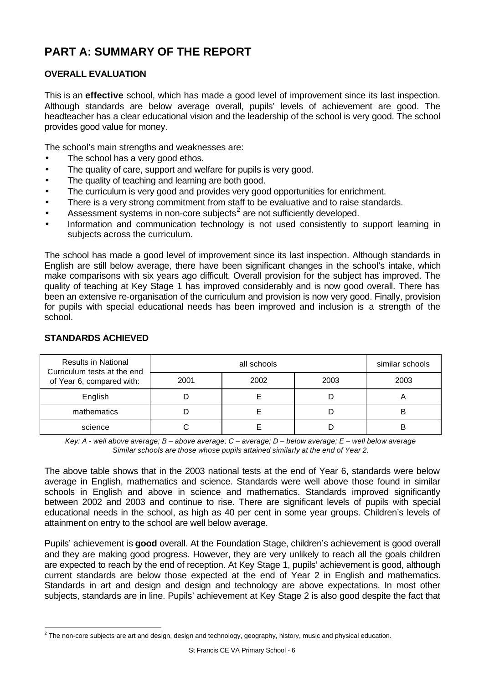# **PART A: SUMMARY OF THE REPORT**

# **OVERALL EVALUATION**

This is an **effective** school, which has made a good level of improvement since its last inspection. Although standards are below average overall, pupils' levels of achievement are good. The headteacher has a clear educational vision and the leadership of the school is very good. The school provides good value for money.

The school's main strengths and weaknesses are:

- The school has a very good ethos.
- The quality of care, support and welfare for pupils is very good.
- The quality of teaching and learning are both good.
- The curriculum is very good and provides very good opportunities for enrichment.
- There is a very strong commitment from staff to be evaluative and to raise standards.
- $\bullet$  Assessment systems in non-core subjects<sup>2</sup> are not sufficiently developed.
- Information and communication technology is not used consistently to support learning in subjects across the curriculum.

The school has made a good level of improvement since its last inspection. Although standards in English are still below average, there have been significant changes in the school's intake, which make comparisons with six years ago difficult. Overall provision for the subject has improved. The quality of teaching at Key Stage 1 has improved considerably and is now good overall. There has been an extensive re-organisation of the curriculum and provision is now very good. Finally, provision for pupils with special educational needs has been improved and inclusion is a strength of the school.

| <b>Results in National</b><br>Curriculum tests at the end |      | similar schools |      |      |
|-----------------------------------------------------------|------|-----------------|------|------|
| of Year 6, compared with:                                 | 2001 | 2002            | 2003 | 2003 |
| English                                                   |      |                 |      |      |
| mathematics                                               |      |                 |      | B    |
| science                                                   |      |                 |      |      |

# **STANDARDS ACHIEVED**

l

*Key: A - well above average; B – above average; C – average; D – below average; E – well below average Similar schools are those whose pupils attained similarly at the end of Year 2.*

The above table shows that in the 2003 national tests at the end of Year 6, standards were below average in English, mathematics and science. Standards were well above those found in similar schools in English and above in science and mathematics. Standards improved significantly between 2002 and 2003 and continue to rise. There are significant levels of pupils with special educational needs in the school, as high as 40 per cent in some year groups. Children's levels of attainment on entry to the school are well below average.

Pupils' achievement is **good** overall. At the Foundation Stage, children's achievement is good overall and they are making good progress. However, they are very unlikely to reach all the goals children are expected to reach by the end of reception. At Key Stage 1, pupils' achievement is good, although current standards are below those expected at the end of Year 2 in English and mathematics. Standards in art and design and design and technology are above expectations. In most other subjects, standards are in line. Pupils' achievement at Key Stage 2 is also good despite the fact that

 $^2$  The non-core subjects are art and design, design and technology, geography, history, music and physical education.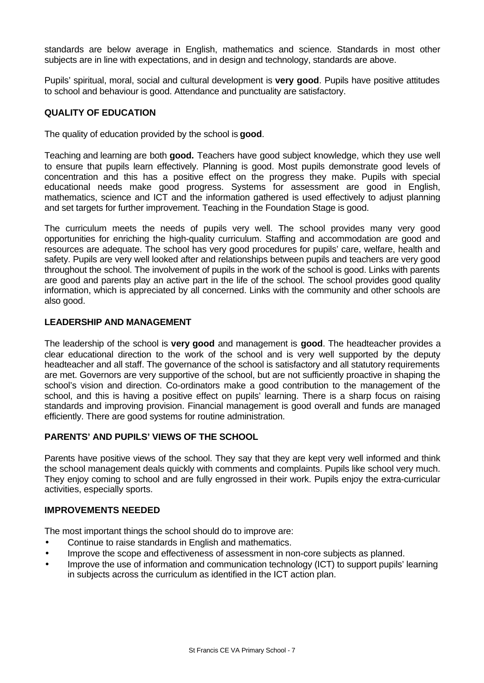standards are below average in English, mathematics and science. Standards in most other subjects are in line with expectations, and in design and technology, standards are above.

Pupils' spiritual, moral, social and cultural development is **very good**. Pupils have positive attitudes to school and behaviour is good. Attendance and punctuality are satisfactory.

# **QUALITY OF EDUCATION**

The quality of education provided by the school is **good**.

Teaching and learning are both **good.** Teachers have good subject knowledge, which they use well to ensure that pupils learn effectively. Planning is good. Most pupils demonstrate good levels of concentration and this has a positive effect on the progress they make. Pupils with special educational needs make good progress. Systems for assessment are good in English, mathematics, science and ICT and the information gathered is used effectively to adjust planning and set targets for further improvement. Teaching in the Foundation Stage is good.

The curriculum meets the needs of pupils very well. The school provides many very good opportunities for enriching the high-quality curriculum. Staffing and accommodation are good and resources are adequate. The school has very good procedures for pupils' care, welfare, health and safety. Pupils are very well looked after and relationships between pupils and teachers are very good throughout the school. The involvement of pupils in the work of the school is good. Links with parents are good and parents play an active part in the life of the school. The school provides good quality information, which is appreciated by all concerned. Links with the community and other schools are also good.

# **LEADERSHIP AND MANAGEMENT**

The leadership of the school is **very good** and management is **good**. The headteacher provides a clear educational direction to the work of the school and is very well supported by the deputy headteacher and all staff. The governance of the school is satisfactory and all statutory requirements are met. Governors are very supportive of the school, but are not sufficiently proactive in shaping the school's vision and direction. Co-ordinators make a good contribution to the management of the school, and this is having a positive effect on pupils<sup>7</sup> learning. There is a sharp focus on raising standards and improving provision. Financial management is good overall and funds are managed efficiently. There are good systems for routine administration.

# **PARENTS' AND PUPILS' VIEWS OF THE SCHOOL**

Parents have positive views of the school. They say that they are kept very well informed and think the school management deals quickly with comments and complaints. Pupils like school very much. They enjoy coming to school and are fully engrossed in their work. Pupils enjoy the extra-curricular activities, especially sports.

#### **IMPROVEMENTS NEEDED**

The most important things the school should do to improve are:

- Continue to raise standards in English and mathematics.
- Improve the scope and effectiveness of assessment in non-core subjects as planned.
- Improve the use of information and communication technology (ICT) to support pupils' learning in subjects across the curriculum as identified in the ICT action plan.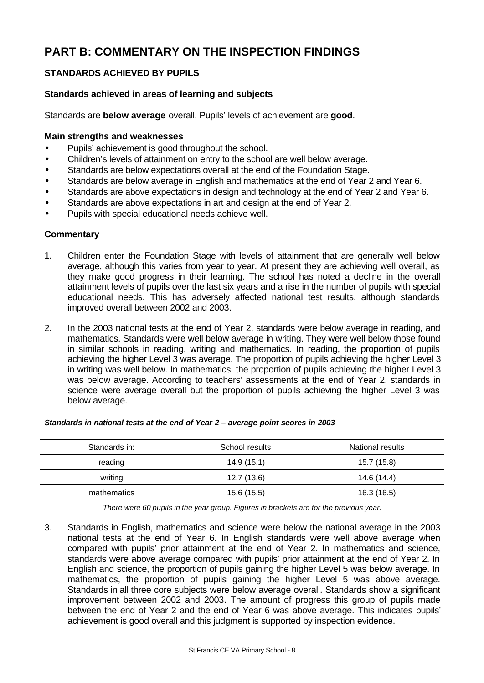# **PART B: COMMENTARY ON THE INSPECTION FINDINGS**

# **STANDARDS ACHIEVED BY PUPILS**

# **Standards achieved in areas of learning and subjects**

Standards are **below average** overall. Pupils' levels of achievement are **good**.

#### **Main strengths and weaknesses**

- Pupils' achievement is good throughout the school.
- Children's levels of attainment on entry to the school are well below average.
- Standards are below expectations overall at the end of the Foundation Stage.
- Standards are below average in English and mathematics at the end of Year 2 and Year 6.
- Standards are above expectations in design and technology at the end of Year 2 and Year 6.
- Standards are above expectations in art and design at the end of Year 2.
- Pupils with special educational needs achieve well.

#### **Commentary**

- 1. Children enter the Foundation Stage with levels of attainment that are generally well below average, although this varies from year to year. At present they are achieving well overall, as they make good progress in their learning. The school has noted a decline in the overall attainment levels of pupils over the last six years and a rise in the number of pupils with special educational needs. This has adversely affected national test results, although standards improved overall between 2002 and 2003.
- 2. In the 2003 national tests at the end of Year 2, standards were below average in reading, and mathematics. Standards were well below average in writing. They were well below those found in similar schools in reading, writing and mathematics. In reading, the proportion of pupils achieving the higher Level 3 was average. The proportion of pupils achieving the higher Level 3 in writing was well below. In mathematics, the proportion of pupils achieving the higher Level 3 was below average. According to teachers' assessments at the end of Year 2, standards in science were average overall but the proportion of pupils achieving the higher Level 3 was below average.

| Standards in: | School results | National results |
|---------------|----------------|------------------|
| reading       | 14.9 (15.1)    | 15.7 (15.8)      |
| writing       | 12.7(13.6)     | 14.6 (14.4)      |
| mathematics   | 15.6 (15.5)    | 16.3 (16.5)      |

#### *Standards in national tests at the end of Year 2 – average point scores in 2003*

*There were 60 pupils in the year group. Figures in brackets are for the previous year.*

3. Standards in English, mathematics and science were below the national average in the 2003 national tests at the end of Year 6. In English standards were well above average when compared with pupils' prior attainment at the end of Year 2. In mathematics and science, standards were above average compared with pupils' prior attainment at the end of Year 2. In English and science, the proportion of pupils gaining the higher Level 5 was below average. In mathematics, the proportion of pupils gaining the higher Level 5 was above average. Standards in all three core subjects were below average overall. Standards show a significant improvement between 2002 and 2003. The amount of progress this group of pupils made between the end of Year 2 and the end of Year 6 was above average. This indicates pupils' achievement is good overall and this judgment is supported by inspection evidence.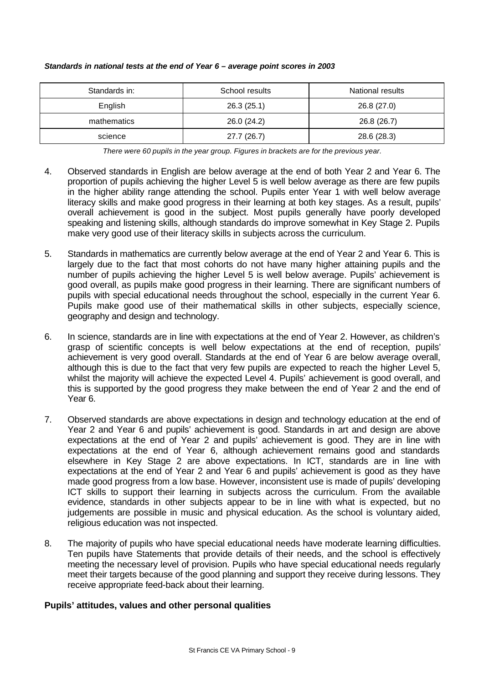| Standards in: | School results | National results |
|---------------|----------------|------------------|
| English       | 26.3(25.1)     | 26.8 (27.0)      |
| mathematics   | 26.0 (24.2)    | 26.8 (26.7)      |
| science       | 27.7 (26.7)    | 28.6 (28.3)      |

#### *Standards in national tests at the end of Year 6 – average point scores in 2003*

*There were 60 pupils in the year group. Figures in brackets are for the previous year.*

- 4. Observed standards in English are below average at the end of both Year 2 and Year 6. The proportion of pupils achieving the higher Level 5 is well below average as there are few pupils in the higher ability range attending the school. Pupils enter Year 1 with well below average literacy skills and make good progress in their learning at both key stages. As a result, pupils' overall achievement is good in the subject. Most pupils generally have poorly developed speaking and listening skills, although standards do improve somewhat in Key Stage 2. Pupils make very good use of their literacy skills in subjects across the curriculum.
- 5. Standards in mathematics are currently below average at the end of Year 2 and Year 6. This is largely due to the fact that most cohorts do not have many higher attaining pupils and the number of pupils achieving the higher Level 5 is well below average. Pupils' achievement is good overall, as pupils make good progress in their learning. There are significant numbers of pupils with special educational needs throughout the school, especially in the current Year 6. Pupils make good use of their mathematical skills in other subjects, especially science, geography and design and technology.
- 6. In science, standards are in line with expectations at the end of Year 2. However, as children's grasp of scientific concepts is well below expectations at the end of reception, pupils' achievement is very good overall. Standards at the end of Year 6 are below average overall, although this is due to the fact that very few pupils are expected to reach the higher Level 5, whilst the majority will achieve the expected Level 4. Pupils' achievement is good overall, and this is supported by the good progress they make between the end of Year 2 and the end of Year 6.
- 7. Observed standards are above expectations in design and technology education at the end of Year 2 and Year 6 and pupils' achievement is good. Standards in art and design are above expectations at the end of Year 2 and pupils' achievement is good. They are in line with expectations at the end of Year 6, although achievement remains good and standards elsewhere in Key Stage 2 are above expectations. In ICT, standards are in line with expectations at the end of Year 2 and Year 6 and pupils' achievement is good as they have made good progress from a low base. However, inconsistent use is made of pupils' developing ICT skills to support their learning in subjects across the curriculum. From the available evidence, standards in other subjects appear to be in line with what is expected, but no judgements are possible in music and physical education. As the school is voluntary aided, religious education was not inspected.
- 8. The majority of pupils who have special educational needs have moderate learning difficulties. Ten pupils have Statements that provide details of their needs, and the school is effectively meeting the necessary level of provision. Pupils who have special educational needs regularly meet their targets because of the good planning and support they receive during lessons. They receive appropriate feed-back about their learning.

# **Pupils' attitudes, values and other personal qualities**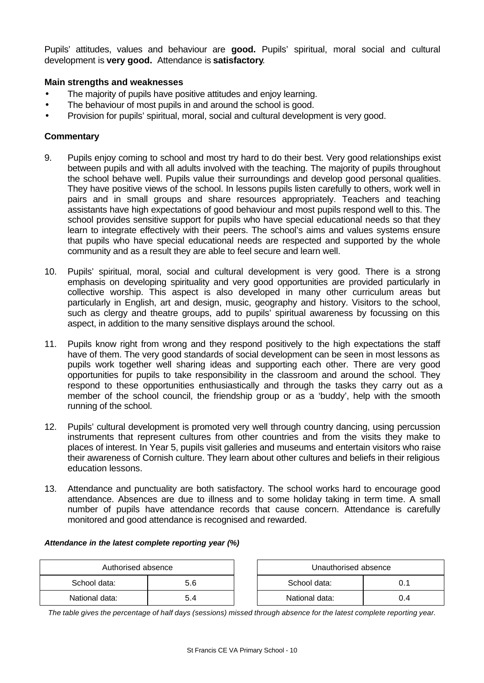Pupils' attitudes, values and behaviour are **good.** Pupils' spiritual, moral social and cultural development is **very good.** Attendance is **satisfactory**.

# **Main strengths and weaknesses**

- The majority of pupils have positive attitudes and enjoy learning.
- The behaviour of most pupils in and around the school is good.
- Provision for pupils' spiritual, moral, social and cultural development is very good.

#### **Commentary**

- 9. Pupils enjoy coming to school and most try hard to do their best. Very good relationships exist between pupils and with all adults involved with the teaching. The majority of pupils throughout the school behave well. Pupils value their surroundings and develop good personal qualities. They have positive views of the school. In lessons pupils listen carefully to others, work well in pairs and in small groups and share resources appropriately. Teachers and teaching assistants have high expectations of good behaviour and most pupils respond well to this. The school provides sensitive support for pupils who have special educational needs so that they learn to integrate effectively with their peers. The school's aims and values systems ensure that pupils who have special educational needs are respected and supported by the whole community and as a result they are able to feel secure and learn well.
- 10. Pupils' spiritual, moral, social and cultural development is very good. There is a strong emphasis on developing spirituality and very good opportunities are provided particularly in collective worship. This aspect is also developed in many other curriculum areas but particularly in English, art and design, music, geography and history. Visitors to the school, such as clergy and theatre groups, add to pupils' spiritual awareness by focussing on this aspect, in addition to the many sensitive displays around the school.
- 11. Pupils know right from wrong and they respond positively to the high expectations the staff have of them. The very good standards of social development can be seen in most lessons as pupils work together well sharing ideas and supporting each other. There are very good opportunities for pupils to take responsibility in the classroom and around the school. They respond to these opportunities enthusiastically and through the tasks they carry out as a member of the school council, the friendship group or as a 'buddy', help with the smooth running of the school.
- 12. Pupils' cultural development is promoted very well through country dancing, using percussion instruments that represent cultures from other countries and from the visits they make to places of interest. In Year 5, pupils visit galleries and museums and entertain visitors who raise their awareness of Cornish culture. They learn about other cultures and beliefs in their religious education lessons.
- 13. Attendance and punctuality are both satisfactory. The school works hard to encourage good attendance. Absences are due to illness and to some holiday taking in term time. A small number of pupils have attendance records that cause concern. Attendance is carefully monitored and good attendance is recognised and rewarded.

#### *Attendance in the latest complete reporting year (%)*

| Authorised absence |     | Unauthorised absence |     |
|--------------------|-----|----------------------|-----|
| School data:       | 5.6 | School data:         |     |
| National data:     | 5.4 | National data:       | 0.4 |

*The table gives the percentage of half days (sessions) missed through absence for the latest complete reporting year.*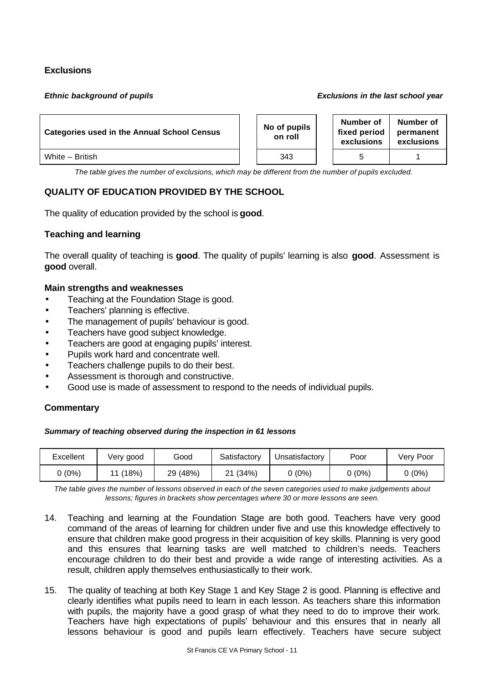# **Exclusions**

#### *Ethnic background of pupils Exclusions in the last school year*

| <b>Categories used in the Annual School Census</b> |  | No of pupils<br>on roll | Number of<br>fixed period<br>exclusions | Number of<br>permanent<br>exclusions |
|----------------------------------------------------|--|-------------------------|-----------------------------------------|--------------------------------------|
| White - British                                    |  | 343                     |                                         |                                      |

*The table gives the number of exclusions, which may be different from the number of pupils excluded.*

# **QUALITY OF EDUCATION PROVIDED BY THE SCHOOL**

The quality of education provided by the school is **good**.

# **Teaching and learning**

The overall quality of teaching is **good**. The quality of pupils' learning is also **good**. Assessment is **good** overall.

#### **Main strengths and weaknesses**

- Teaching at the Foundation Stage is good.
- Teachers' planning is effective.
- The management of pupils' behaviour is good.
- Teachers have good subject knowledge.
- Teachers are good at engaging pupils' interest.
- Pupils work hard and concentrate well.
- Teachers challenge pupils to do their best.
- Assessment is thorough and constructive.
- Good use is made of assessment to respond to the needs of individual pupils.

# **Commentary**

#### *Summary of teaching observed during the inspection in 61 lessons*

| Excellent | Very good   | Good     | Satisfactorv | Jnsatisfactory | Poor   | Very Poor |
|-----------|-------------|----------|--------------|----------------|--------|-----------|
| $(0\%)$   | (18%)<br>44 | 29 (48%) | (34%)<br>つイ  | 0 (0%)         | ጋ (ዐ%) | J(0%)     |

*The table gives the number of lessons observed in each of the seven categories used to make judgements about lessons; figures in brackets show percentages where 30 or more lessons are seen.*

- 14. Teaching and learning at the Foundation Stage are both good. Teachers have very good command of the areas of learning for children under five and use this knowledge effectively to ensure that children make good progress in their acquisition of key skills. Planning is very good and this ensures that learning tasks are well matched to children's needs. Teachers encourage children to do their best and provide a wide range of interesting activities. As a result, children apply themselves enthusiastically to their work.
- 15. The quality of teaching at both Key Stage 1 and Key Stage 2 is good. Planning is effective and clearly identifies what pupils need to learn in each lesson. As teachers share this information with pupils, the majority have a good grasp of what they need to do to improve their work. Teachers have high expectations of pupils' behaviour and this ensures that in nearly all lessons behaviour is good and pupils learn effectively. Teachers have secure subject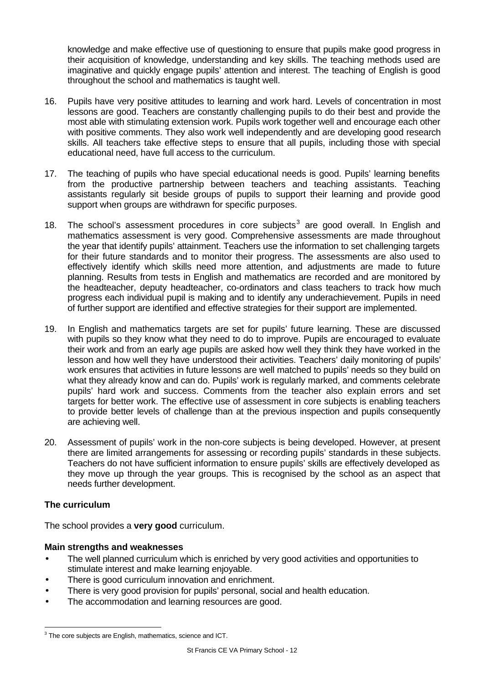knowledge and make effective use of questioning to ensure that pupils make good progress in their acquisition of knowledge, understanding and key skills. The teaching methods used are imaginative and quickly engage pupils' attention and interest. The teaching of English is good throughout the school and mathematics is taught well.

- 16. Pupils have very positive attitudes to learning and work hard. Levels of concentration in most lessons are good. Teachers are constantly challenging pupils to do their best and provide the most able with stimulating extension work. Pupils work together well and encourage each other with positive comments. They also work well independently and are developing good research skills. All teachers take effective steps to ensure that all pupils, including those with special educational need, have full access to the curriculum.
- 17. The teaching of pupils who have special educational needs is good. Pupils' learning benefits from the productive partnership between teachers and teaching assistants. Teaching assistants regularly sit beside groups of pupils to support their learning and provide good support when groups are withdrawn for specific purposes.
- 18. The school's assessment procedures in core subjects<sup>3</sup> are good overall. In English and mathematics assessment is very good. Comprehensive assessments are made throughout the year that identify pupils' attainment. Teachers use the information to set challenging targets for their future standards and to monitor their progress. The assessments are also used to effectively identify which skills need more attention, and adjustments are made to future planning. Results from tests in English and mathematics are recorded and are monitored by the headteacher, deputy headteacher, co-ordinators and class teachers to track how much progress each individual pupil is making and to identify any underachievement. Pupils in need of further support are identified and effective strategies for their support are implemented.
- 19. In English and mathematics targets are set for pupils' future learning. These are discussed with pupils so they know what they need to do to improve. Pupils are encouraged to evaluate their work and from an early age pupils are asked how well they think they have worked in the lesson and how well they have understood their activities. Teachers' daily monitoring of pupils' work ensures that activities in future lessons are well matched to pupils' needs so they build on what they already know and can do. Pupils' work is regularly marked, and comments celebrate pupils' hard work and success. Comments from the teacher also explain errors and set targets for better work. The effective use of assessment in core subjects is enabling teachers to provide better levels of challenge than at the previous inspection and pupils consequently are achieving well.
- 20. Assessment of pupils' work in the non-core subjects is being developed. However, at present there are limited arrangements for assessing or recording pupils' standards in these subjects. Teachers do not have sufficient information to ensure pupils' skills are effectively developed as they move up through the year groups. This is recognised by the school as an aspect that needs further development.

# **The curriculum**

The school provides a **very good** curriculum.

# **Main strengths and weaknesses**

- The well planned curriculum which is enriched by very good activities and opportunities to stimulate interest and make learning enjoyable.
- There is good curriculum innovation and enrichment.
- There is very good provision for pupils' personal, social and health education.
- The accommodation and learning resources are good.

l  $3$  The core subjects are English, mathematics, science and ICT.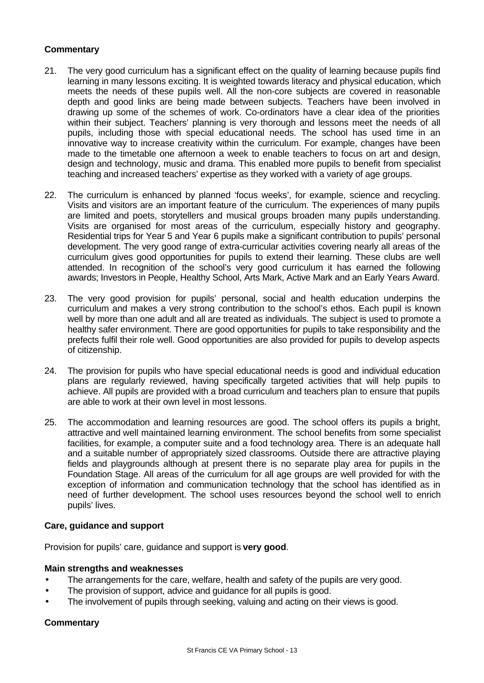# **Commentary**

- 21. The very good curriculum has a significant effect on the quality of learning because pupils find learning in many lessons exciting. It is weighted towards literacy and physical education, which meets the needs of these pupils well. All the non-core subjects are covered in reasonable depth and good links are being made between subjects. Teachers have been involved in drawing up some of the schemes of work. Co-ordinators have a clear idea of the priorities within their subject. Teachers' planning is very thorough and lessons meet the needs of all pupils, including those with special educational needs. The school has used time in an innovative way to increase creativity within the curriculum. For example, changes have been made to the timetable one afternoon a week to enable teachers to focus on art and design, design and technology, music and drama. This enabled more pupils to benefit from specialist teaching and increased teachers' expertise as they worked with a variety of age groups.
- 22. The curriculum is enhanced by planned 'focus weeks', for example, science and recycling. Visits and visitors are an important feature of the curriculum. The experiences of many pupils are limited and poets, storytellers and musical groups broaden many pupils understanding. Visits are organised for most areas of the curriculum, especially history and geography. Residential trips for Year 5 and Year 6 pupils make a significant contribution to pupils' personal development. The very good range of extra-curricular activities covering nearly all areas of the curriculum gives good opportunities for pupils to extend their learning. These clubs are well attended. In recognition of the school's very good curriculum it has earned the following awards; Investors in People, Healthy School, Arts Mark, Active Mark and an Early Years Award.
- 23. The very good provision for pupils' personal, social and health education underpins the curriculum and makes a very strong contribution to the school's ethos. Each pupil is known well by more than one adult and all are treated as individuals. The subject is used to promote a healthy safer environment. There are good opportunities for pupils to take responsibility and the prefects fulfil their role well. Good opportunities are also provided for pupils to develop aspects of citizenship.
- 24. The provision for pupils who have special educational needs is good and individual education plans are regularly reviewed, having specifically targeted activities that will help pupils to achieve. All pupils are provided with a broad curriculum and teachers plan to ensure that pupils are able to work at their own level in most lessons.
- 25. The accommodation and learning resources are good. The school offers its pupils a bright, attractive and well maintained learning environment. The school benefits from some specialist facilities, for example, a computer suite and a food technology area. There is an adequate hall and a suitable number of appropriately sized classrooms. Outside there are attractive playing fields and playgrounds although at present there is no separate play area for pupils in the Foundation Stage. All areas of the curriculum for all age groups are well provided for with the exception of information and communication technology that the school has identified as in need of further development. The school uses resources beyond the school well to enrich pupils' lives.

# **Care, guidance and support**

Provision for pupils' care, guidance and support is **very good**.

# **Main strengths and weaknesses**

- The arrangements for the care, welfare, health and safety of the pupils are very good.
- The provision of support, advice and guidance for all pupils is good.
- The involvement of pupils through seeking, valuing and acting on their views is good.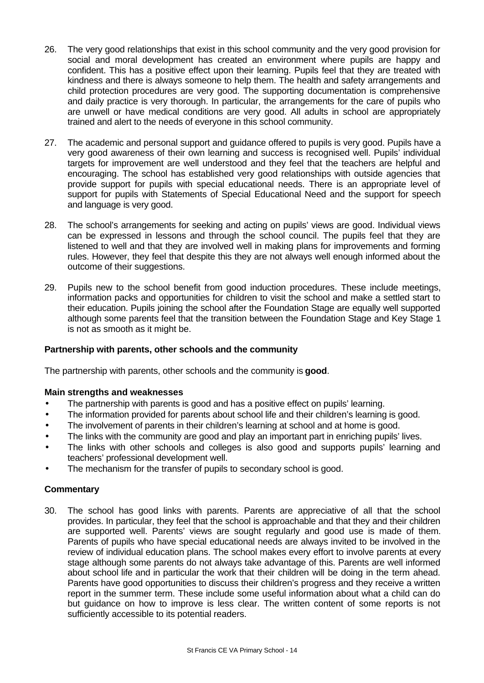- 26. The very good relationships that exist in this school community and the very good provision for social and moral development has created an environment where pupils are happy and confident. This has a positive effect upon their learning. Pupils feel that they are treated with kindness and there is always someone to help them. The health and safety arrangements and child protection procedures are very good. The supporting documentation is comprehensive and daily practice is very thorough. In particular, the arrangements for the care of pupils who are unwell or have medical conditions are very good. All adults in school are appropriately trained and alert to the needs of everyone in this school community.
- 27. The academic and personal support and guidance offered to pupils is very good. Pupils have a very good awareness of their own learning and success is recognised well. Pupils' individual targets for improvement are well understood and they feel that the teachers are helpful and encouraging. The school has established very good relationships with outside agencies that provide support for pupils with special educational needs. There is an appropriate level of support for pupils with Statements of Special Educational Need and the support for speech and language is very good.
- 28. The school's arrangements for seeking and acting on pupils' views are good. Individual views can be expressed in lessons and through the school council. The pupils feel that they are listened to well and that they are involved well in making plans for improvements and forming rules. However, they feel that despite this they are not always well enough informed about the outcome of their suggestions.
- 29. Pupils new to the school benefit from good induction procedures. These include meetings, information packs and opportunities for children to visit the school and make a settled start to their education. Pupils joining the school after the Foundation Stage are equally well supported although some parents feel that the transition between the Foundation Stage and Key Stage 1 is not as smooth as it might be.

# **Partnership with parents, other schools and the community**

The partnership with parents, other schools and the community is **good**.

# **Main strengths and weaknesses**

- The partnership with parents is good and has a positive effect on pupils' learning.
- The information provided for parents about school life and their children's learning is good.
- The involvement of parents in their children's learning at school and at home is good.
- The links with the community are good and play an important part in enriching pupils' lives.
- The links with other schools and colleges is also good and supports pupils' learning and teachers' professional development well.
- The mechanism for the transfer of pupils to secondary school is good.

# **Commentary**

30. The school has good links with parents. Parents are appreciative of all that the school provides. In particular, they feel that the school is approachable and that they and their children are supported well. Parents' views are sought regularly and good use is made of them. Parents of pupils who have special educational needs are always invited to be involved in the review of individual education plans. The school makes every effort to involve parents at every stage although some parents do not always take advantage of this. Parents are well informed about school life and in particular the work that their children will be doing in the term ahead. Parents have good opportunities to discuss their children's progress and they receive a written report in the summer term. These include some useful information about what a child can do but guidance on how to improve is less clear. The written content of some reports is not sufficiently accessible to its potential readers.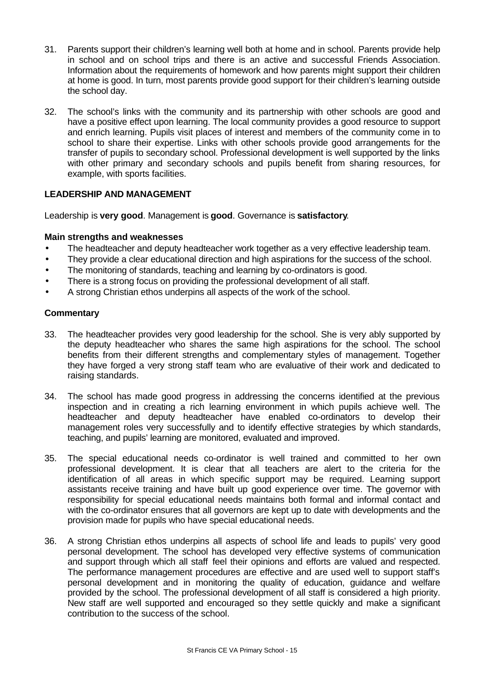- 31. Parents support their children's learning well both at home and in school. Parents provide help in school and on school trips and there is an active and successful Friends Association. Information about the requirements of homework and how parents might support their children at home is good. In turn, most parents provide good support for their children's learning outside the school day.
- 32. The school's links with the community and its partnership with other schools are good and have a positive effect upon learning. The local community provides a good resource to support and enrich learning. Pupils visit places of interest and members of the community come in to school to share their expertise. Links with other schools provide good arrangements for the transfer of pupils to secondary school. Professional development is well supported by the links with other primary and secondary schools and pupils benefit from sharing resources, for example, with sports facilities.

# **LEADERSHIP AND MANAGEMENT**

Leadership is **very good**. Management is **good**. Governance is **satisfactory**.

#### **Main strengths and weaknesses**

- The headteacher and deputy headteacher work together as a very effective leadership team.
- They provide a clear educational direction and high aspirations for the success of the school.
- The monitoring of standards, teaching and learning by co-ordinators is good.
- There is a strong focus on providing the professional development of all staff.
- A strong Christian ethos underpins all aspects of the work of the school.

- 33. The headteacher provides very good leadership for the school. She is very ably supported by the deputy headteacher who shares the same high aspirations for the school. The school benefits from their different strengths and complementary styles of management. Together they have forged a very strong staff team who are evaluative of their work and dedicated to raising standards.
- 34. The school has made good progress in addressing the concerns identified at the previous inspection and in creating a rich learning environment in which pupils achieve well. The headteacher and deputy headteacher have enabled co-ordinators to develop their management roles very successfully and to identify effective strategies by which standards, teaching, and pupils' learning are monitored, evaluated and improved.
- 35. The special educational needs co-ordinator is well trained and committed to her own professional development. It is clear that all teachers are alert to the criteria for the identification of all areas in which specific support may be required. Learning support assistants receive training and have built up good experience over time. The governor with responsibility for special educational needs maintains both formal and informal contact and with the co-ordinator ensures that all governors are kept up to date with developments and the provision made for pupils who have special educational needs.
- 36. A strong Christian ethos underpins all aspects of school life and leads to pupils' very good personal development. The school has developed very effective systems of communication and support through which all staff feel their opinions and efforts are valued and respected. The performance management procedures are effective and are used well to support staff's personal development and in monitoring the quality of education, guidance and welfare provided by the school. The professional development of all staff is considered a high priority. New staff are well supported and encouraged so they settle quickly and make a significant contribution to the success of the school.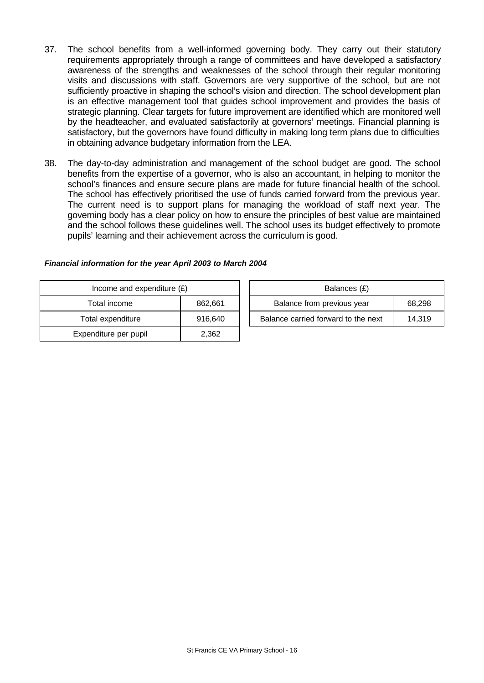- 37. The school benefits from a well-informed governing body. They carry out their statutory requirements appropriately through a range of committees and have developed a satisfactory awareness of the strengths and weaknesses of the school through their regular monitoring visits and discussions with staff. Governors are very supportive of the school, but are not sufficiently proactive in shaping the school's vision and direction. The school development plan is an effective management tool that guides school improvement and provides the basis of strategic planning. Clear targets for future improvement are identified which are monitored well by the headteacher, and evaluated satisfactorily at governors' meetings. Financial planning is satisfactory, but the governors have found difficulty in making long term plans due to difficulties in obtaining advance budgetary information from the LEA.
- 38. The day-to-day administration and management of the school budget are good. The school benefits from the expertise of a governor, who is also an accountant, in helping to monitor the school's finances and ensure secure plans are made for future financial health of the school. The school has effectively prioritised the use of funds carried forward from the previous year. The current need is to support plans for managing the workload of staff next year. The governing body has a clear policy on how to ensure the principles of best value are maintained and the school follows these guidelines well. The school uses its budget effectively to promote pupils' learning and their achievement across the curriculum is good.

| Income and expenditure $(E)$ |         | Balances (£)                        |        |
|------------------------------|---------|-------------------------------------|--------|
| Total income                 | 862,661 | Balance from previous year          | 68,298 |
| Total expenditure            | 916,640 | Balance carried forward to the next | 14.319 |
| Expenditure per pupil        | 2,362   |                                     |        |

#### *Financial information for the year April 2003 to March 2004*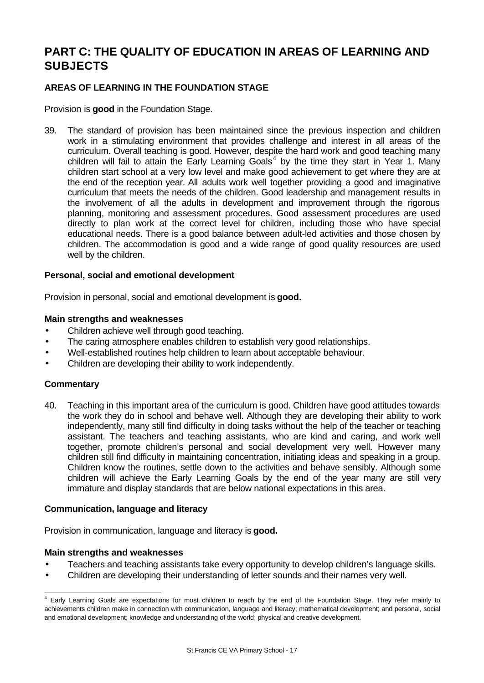# **PART C: THE QUALITY OF EDUCATION IN AREAS OF LEARNING AND SUBJECTS**

# **AREAS OF LEARNING IN THE FOUNDATION STAGE**

Provision is **good** in the Foundation Stage.

39. The standard of provision has been maintained since the previous inspection and children work in a stimulating environment that provides challenge and interest in all areas of the curriculum. Overall teaching is good. However, despite the hard work and good teaching many children will fail to attain the Early Learning Goals<sup>4</sup> by the time they start in Year 1. Many children start school at a very low level and make good achievement to get where they are at the end of the reception year. All adults work well together providing a good and imaginative curriculum that meets the needs of the children. Good leadership and management results in the involvement of all the adults in development and improvement through the rigorous planning, monitoring and assessment procedures. Good assessment procedures are used directly to plan work at the correct level for children, including those who have special educational needs. There is a good balance between adult-led activities and those chosen by children. The accommodation is good and a wide range of good quality resources are used well by the children.

# **Personal, social and emotional development**

Provision in personal, social and emotional development is **good.**

#### **Main strengths and weaknesses**

- Children achieve well through good teaching.
- The caring atmosphere enables children to establish very good relationships.
- Well-established routines help children to learn about acceptable behaviour.
- Children are developing their ability to work independently.

# **Commentary**

l

40. Teaching in this important area of the curriculum is good. Children have good attitudes towards the work they do in school and behave well. Although they are developing their ability to work independently, many still find difficulty in doing tasks without the help of the teacher or teaching assistant. The teachers and teaching assistants, who are kind and caring, and work well together, promote children's personal and social development very well. However many children still find difficulty in maintaining concentration, initiating ideas and speaking in a group. Children know the routines, settle down to the activities and behave sensibly. Although some children will achieve the Early Learning Goals by the end of the year many are still very immature and display standards that are below national expectations in this area.

# **Communication, language and literacy**

Provision in communication, language and literacy is **good.**

#### **Main strengths and weaknesses**

- Teachers and teaching assistants take every opportunity to develop children's language skills.
- Children are developing their understanding of letter sounds and their names very well.

<sup>&</sup>lt;sup>4</sup> Early Learning Goals are expectations for most children to reach by the end of the Foundation Stage. They refer mainly to achievements children make in connection with communication, language and literacy; mathematical development; and personal, social and emotional development; knowledge and understanding of the world; physical and creative development.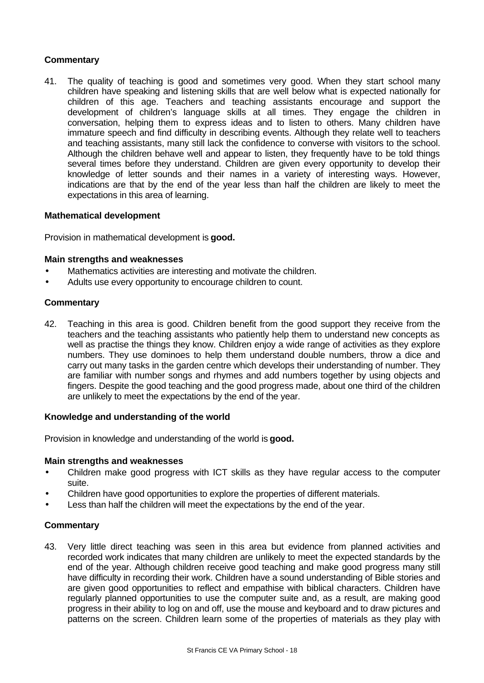# **Commentary**

41. The quality of teaching is good and sometimes very good. When they start school many children have speaking and listening skills that are well below what is expected nationally for children of this age. Teachers and teaching assistants encourage and support the development of children's language skills at all times. They engage the children in conversation, helping them to express ideas and to listen to others. Many children have immature speech and find difficulty in describing events. Although they relate well to teachers and teaching assistants, many still lack the confidence to converse with visitors to the school. Although the children behave well and appear to listen, they frequently have to be told things several times before they understand. Children are given every opportunity to develop their knowledge of letter sounds and their names in a variety of interesting ways. However, indications are that by the end of the year less than half the children are likely to meet the expectations in this area of learning.

#### **Mathematical development**

Provision in mathematical development is **good.**

#### **Main strengths and weaknesses**

- Mathematics activities are interesting and motivate the children.
- Adults use every opportunity to encourage children to count.

#### **Commentary**

42. Teaching in this area is good. Children benefit from the good support they receive from the teachers and the teaching assistants who patiently help them to understand new concepts as well as practise the things they know. Children enjoy a wide range of activities as they explore numbers. They use dominoes to help them understand double numbers, throw a dice and carry out many tasks in the garden centre which develops their understanding of number. They are familiar with number songs and rhymes and add numbers together by using objects and fingers. Despite the good teaching and the good progress made, about one third of the children are unlikely to meet the expectations by the end of the year.

#### **Knowledge and understanding of the world**

Provision in knowledge and understanding of the world is **good.**

#### **Main strengths and weaknesses**

- Children make good progress with ICT skills as they have regular access to the computer suite.
- Children have good opportunities to explore the properties of different materials.
- Less than half the children will meet the expectations by the end of the year.

# **Commentary**

43. Very little direct teaching was seen in this area but evidence from planned activities and recorded work indicates that many children are unlikely to meet the expected standards by the end of the year. Although children receive good teaching and make good progress many still have difficulty in recording their work. Children have a sound understanding of Bible stories and are given good opportunities to reflect and empathise with biblical characters. Children have regularly planned opportunities to use the computer suite and, as a result, are making good progress in their ability to log on and off, use the mouse and keyboard and to draw pictures and patterns on the screen. Children learn some of the properties of materials as they play with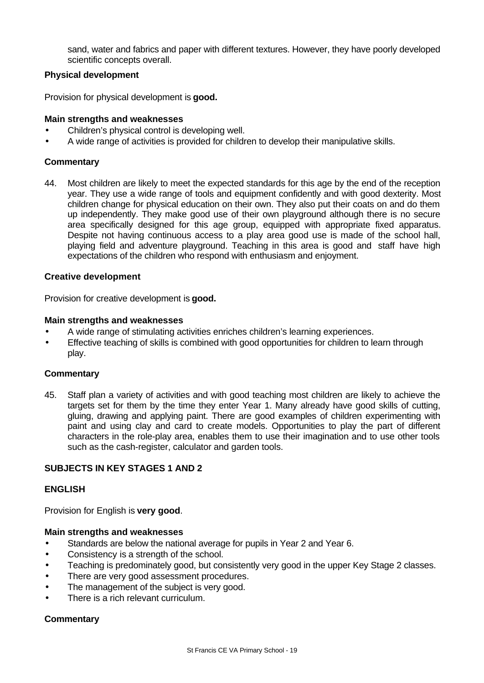sand, water and fabrics and paper with different textures. However, they have poorly developed scientific concepts overall.

#### **Physical development**

Provision for physical development is **good.**

#### **Main strengths and weaknesses**

- Children's physical control is developing well.
- A wide range of activities is provided for children to develop their manipulative skills.

#### **Commentary**

44. Most children are likely to meet the expected standards for this age by the end of the reception year. They use a wide range of tools and equipment confidently and with good dexterity. Most children change for physical education on their own. They also put their coats on and do them up independently. They make good use of their own playground although there is no secure area specifically designed for this age group, equipped with appropriate fixed apparatus. Despite not having continuous access to a play area good use is made of the school hall, playing field and adventure playground. Teaching in this area is good and staff have high expectations of the children who respond with enthusiasm and enjoyment.

#### **Creative development**

Provision for creative development is **good.**

#### **Main strengths and weaknesses**

- A wide range of stimulating activities enriches children's learning experiences.
- Effective teaching of skills is combined with good opportunities for children to learn through play.

#### **Commentary**

45. Staff plan a variety of activities and with good teaching most children are likely to achieve the targets set for them by the time they enter Year 1. Many already have good skills of cutting, gluing, drawing and applying paint. There are good examples of children experimenting with paint and using clay and card to create models. Opportunities to play the part of different characters in the role-play area, enables them to use their imagination and to use other tools such as the cash-register, calculator and garden tools.

# **SUBJECTS IN KEY STAGES 1 AND 2**

# **ENGLISH**

Provision for English is **very good**.

#### **Main strengths and weaknesses**

- Standards are below the national average for pupils in Year 2 and Year 6.
- Consistency is a strength of the school.
- Teaching is predominately good, but consistently very good in the upper Key Stage 2 classes.
- There are very good assessment procedures.
- The management of the subject is very good.
- There is a rich relevant curriculum.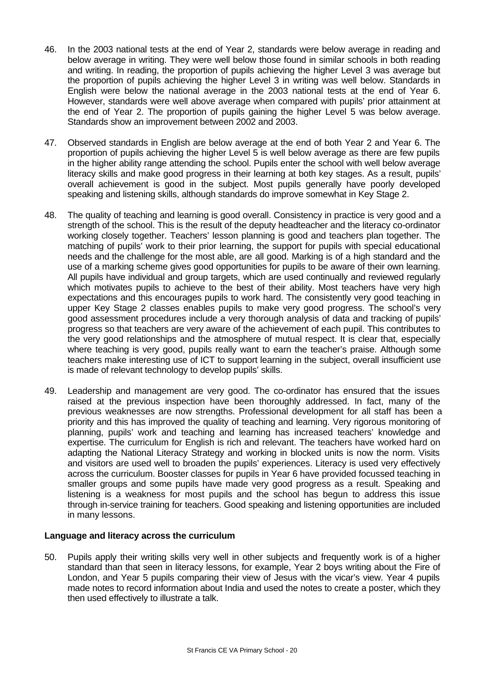- 46. In the 2003 national tests at the end of Year 2, standards were below average in reading and below average in writing. They were well below those found in similar schools in both reading and writing. In reading, the proportion of pupils achieving the higher Level 3 was average but the proportion of pupils achieving the higher Level 3 in writing was well below. Standards in English were below the national average in the 2003 national tests at the end of Year 6. However, standards were well above average when compared with pupils' prior attainment at the end of Year 2. The proportion of pupils gaining the higher Level 5 was below average. Standards show an improvement between 2002 and 2003.
- 47. Observed standards in English are below average at the end of both Year 2 and Year 6. The proportion of pupils achieving the higher Level 5 is well below average as there are few pupils in the higher ability range attending the school. Pupils enter the school with well below average literacy skills and make good progress in their learning at both key stages. As a result, pupils' overall achievement is good in the subject. Most pupils generally have poorly developed speaking and listening skills, although standards do improve somewhat in Key Stage 2.
- 48. The quality of teaching and learning is good overall. Consistency in practice is very good and a strength of the school. This is the result of the deputy headteacher and the literacy co-ordinator working closely together. Teachers' lesson planning is good and teachers plan together. The matching of pupils' work to their prior learning, the support for pupils with special educational needs and the challenge for the most able, are all good. Marking is of a high standard and the use of a marking scheme gives good opportunities for pupils to be aware of their own learning. All pupils have individual and group targets, which are used continually and reviewed regularly which motivates pupils to achieve to the best of their ability. Most teachers have very high expectations and this encourages pupils to work hard. The consistently very good teaching in upper Key Stage 2 classes enables pupils to make very good progress. The school's very good assessment procedures include a very thorough analysis of data and tracking of pupils' progress so that teachers are very aware of the achievement of each pupil. This contributes to the very good relationships and the atmosphere of mutual respect. It is clear that, especially where teaching is very good, pupils really want to earn the teacher's praise. Although some teachers make interesting use of ICT to support learning in the subject, overall insufficient use is made of relevant technology to develop pupils' skills.
- 49. Leadership and management are very good. The co-ordinator has ensured that the issues raised at the previous inspection have been thoroughly addressed. In fact, many of the previous weaknesses are now strengths. Professional development for all staff has been a priority and this has improved the quality of teaching and learning. Very rigorous monitoring of planning, pupils' work and teaching and learning has increased teachers' knowledge and expertise. The curriculum for English is rich and relevant. The teachers have worked hard on adapting the National Literacy Strategy and working in blocked units is now the norm. Visits and visitors are used well to broaden the pupils' experiences. Literacy is used very effectively across the curriculum. Booster classes for pupils in Year 6 have provided focussed teaching in smaller groups and some pupils have made very good progress as a result. Speaking and listening is a weakness for most pupils and the school has begun to address this issue through in-service training for teachers. Good speaking and listening opportunities are included in many lessons.

# **Language and literacy across the curriculum**

50. Pupils apply their writing skills very well in other subjects and frequently work is of a higher standard than that seen in literacy lessons, for example, Year 2 boys writing about the Fire of London, and Year 5 pupils comparing their view of Jesus with the vicar's view. Year 4 pupils made notes to record information about India and used the notes to create a poster, which they then used effectively to illustrate a talk.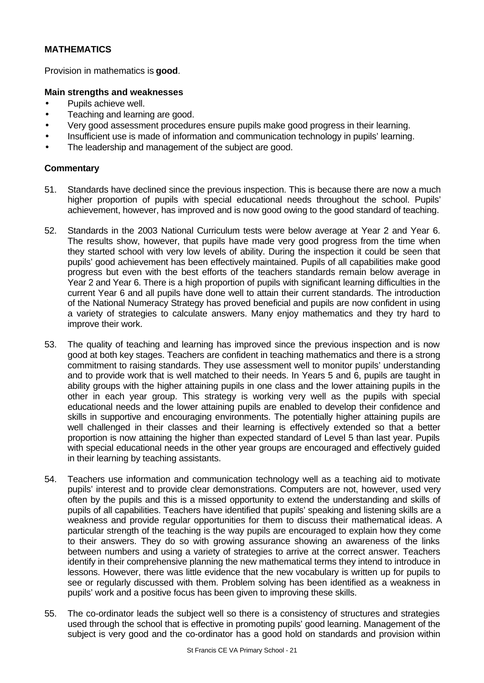# **MATHEMATICS**

Provision in mathematics is **good**.

# **Main strengths and weaknesses**

- Pupils achieve well.
- Teaching and learning are good.
- Very good assessment procedures ensure pupils make good progress in their learning.
- Insufficient use is made of information and communication technology in pupils' learning.
- The leadership and management of the subject are good.

- 51. Standards have declined since the previous inspection. This is because there are now a much higher proportion of pupils with special educational needs throughout the school. Pupils' achievement, however, has improved and is now good owing to the good standard of teaching.
- 52. Standards in the 2003 National Curriculum tests were below average at Year 2 and Year 6. The results show, however, that pupils have made very good progress from the time when they started school with very low levels of ability. During the inspection it could be seen that pupils' good achievement has been effectively maintained. Pupils of all capabilities make good progress but even with the best efforts of the teachers standards remain below average in Year 2 and Year 6. There is a high proportion of pupils with significant learning difficulties in the current Year 6 and all pupils have done well to attain their current standards. The introduction of the National Numeracy Strategy has proved beneficial and pupils are now confident in using a variety of strategies to calculate answers. Many enjoy mathematics and they try hard to improve their work.
- 53. The quality of teaching and learning has improved since the previous inspection and is now good at both key stages. Teachers are confident in teaching mathematics and there is a strong commitment to raising standards. They use assessment well to monitor pupils' understanding and to provide work that is well matched to their needs. In Years 5 and 6, pupils are taught in ability groups with the higher attaining pupils in one class and the lower attaining pupils in the other in each year group. This strategy is working very well as the pupils with special educational needs and the lower attaining pupils are enabled to develop their confidence and skills in supportive and encouraging environments. The potentially higher attaining pupils are well challenged in their classes and their learning is effectively extended so that a better proportion is now attaining the higher than expected standard of Level 5 than last year. Pupils with special educational needs in the other year groups are encouraged and effectively guided in their learning by teaching assistants.
- 54. Teachers use information and communication technology well as a teaching aid to motivate pupils' interest and to provide clear demonstrations. Computers are not, however, used very often by the pupils and this is a missed opportunity to extend the understanding and skills of pupils of all capabilities. Teachers have identified that pupils' speaking and listening skills are a weakness and provide regular opportunities for them to discuss their mathematical ideas. A particular strength of the teaching is the way pupils are encouraged to explain how they come to their answers. They do so with growing assurance showing an awareness of the links between numbers and using a variety of strategies to arrive at the correct answer. Teachers identify in their comprehensive planning the new mathematical terms they intend to introduce in lessons. However, there was little evidence that the new vocabulary is written up for pupils to see or regularly discussed with them. Problem solving has been identified as a weakness in pupils' work and a positive focus has been given to improving these skills.
- 55. The co-ordinator leads the subject well so there is a consistency of structures and strategies used through the school that is effective in promoting pupils' good learning. Management of the subject is very good and the co-ordinator has a good hold on standards and provision within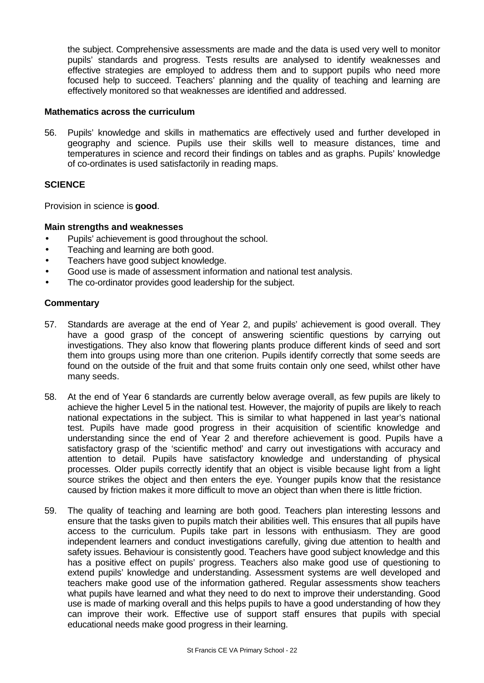the subject. Comprehensive assessments are made and the data is used very well to monitor pupils' standards and progress. Tests results are analysed to identify weaknesses and effective strategies are employed to address them and to support pupils who need more focused help to succeed. Teachers' planning and the quality of teaching and learning are effectively monitored so that weaknesses are identified and addressed.

#### **Mathematics across the curriculum**

56. Pupils' knowledge and skills in mathematics are effectively used and further developed in geography and science. Pupils use their skills well to measure distances, time and temperatures in science and record their findings on tables and as graphs. Pupils' knowledge of co-ordinates is used satisfactorily in reading maps.

#### **SCIENCE**

Provision in science is **good**.

#### **Main strengths and weaknesses**

- Pupils' achievement is good throughout the school.
- Teaching and learning are both good.
- Teachers have good subject knowledge.
- Good use is made of assessment information and national test analysis.
- The co-ordinator provides good leadership for the subject.

- 57. Standards are average at the end of Year 2, and pupils' achievement is good overall. They have a good grasp of the concept of answering scientific questions by carrying out investigations. They also know that flowering plants produce different kinds of seed and sort them into groups using more than one criterion. Pupils identify correctly that some seeds are found on the outside of the fruit and that some fruits contain only one seed, whilst other have many seeds.
- 58. At the end of Year 6 standards are currently below average overall, as few pupils are likely to achieve the higher Level 5 in the national test. However, the majority of pupils are likely to reach national expectations in the subject. This is similar to what happened in last year's national test. Pupils have made good progress in their acquisition of scientific knowledge and understanding since the end of Year 2 and therefore achievement is good. Pupils have a satisfactory grasp of the 'scientific method' and carry out investigations with accuracy and attention to detail. Pupils have satisfactory knowledge and understanding of physical processes. Older pupils correctly identify that an object is visible because light from a light source strikes the object and then enters the eye. Younger pupils know that the resistance caused by friction makes it more difficult to move an object than when there is little friction.
- 59. The quality of teaching and learning are both good. Teachers plan interesting lessons and ensure that the tasks given to pupils match their abilities well. This ensures that all pupils have access to the curriculum. Pupils take part in lessons with enthusiasm. They are good independent learners and conduct investigations carefully, giving due attention to health and safety issues. Behaviour is consistently good. Teachers have good subject knowledge and this has a positive effect on pupils' progress. Teachers also make good use of questioning to extend pupils' knowledge and understanding. Assessment systems are well developed and teachers make good use of the information gathered. Regular assessments show teachers what pupils have learned and what they need to do next to improve their understanding. Good use is made of marking overall and this helps pupils to have a good understanding of how they can improve their work. Effective use of support staff ensures that pupils with special educational needs make good progress in their learning.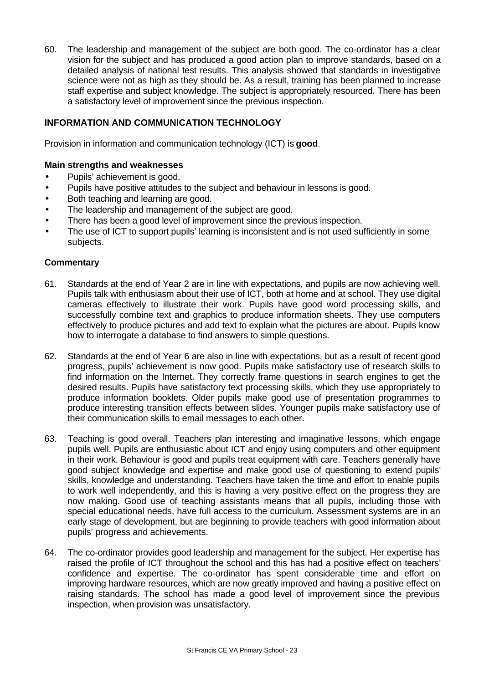60. The leadership and management of the subject are both good. The co-ordinator has a clear vision for the subject and has produced a good action plan to improve standards, based on a detailed analysis of national test results. This analysis showed that standards in investigative science were not as high as they should be. As a result, training has been planned to increase staff expertise and subject knowledge. The subject is appropriately resourced. There has been a satisfactory level of improvement since the previous inspection.

# **INFORMATION AND COMMUNICATION TECHNOLOGY**

Provision in information and communication technology (ICT) is **good**.

#### **Main strengths and weaknesses**

- Pupils' achievement is good.
- Pupils have positive attitudes to the subject and behaviour in lessons is good.
- Both teaching and learning are good.
- The leadership and management of the subject are good.
- There has been a good level of improvement since the previous inspection.
- The use of ICT to support pupils' learning is inconsistent and is not used sufficiently in some subjects.

- 61. Standards at the end of Year 2 are in line with expectations, and pupils are now achieving well. Pupils talk with enthusiasm about their use of ICT, both at home and at school. They use digital cameras effectively to illustrate their work. Pupils have good word processing skills, and successfully combine text and graphics to produce information sheets. They use computers effectively to produce pictures and add text to explain what the pictures are about. Pupils know how to interrogate a database to find answers to simple questions.
- 62. Standards at the end of Year 6 are also in line with expectations, but as a result of recent good progress, pupils' achievement is now good. Pupils make satisfactory use of research skills to find information on the Internet. They correctly frame questions in search engines to get the desired results. Pupils have satisfactory text processing skills, which they use appropriately to produce information booklets. Older pupils make good use of presentation programmes to produce interesting transition effects between slides. Younger pupils make satisfactory use of their communication skills to email messages to each other.
- 63. Teaching is good overall. Teachers plan interesting and imaginative lessons, which engage pupils well. Pupils are enthusiastic about ICT and enjoy using computers and other equipment in their work. Behaviour is good and pupils treat equipment with care. Teachers generally have good subject knowledge and expertise and make good use of questioning to extend pupils' skills, knowledge and understanding. Teachers have taken the time and effort to enable pupils to work well independently, and this is having a very positive effect on the progress they are now making. Good use of teaching assistants means that all pupils, including those with special educational needs, have full access to the curriculum. Assessment systems are in an early stage of development, but are beginning to provide teachers with good information about pupils' progress and achievements.
- 64. The co-ordinator provides good leadership and management for the subject. Her expertise has raised the profile of ICT throughout the school and this has had a positive effect on teachers' confidence and expertise. The co-ordinator has spent considerable time and effort on improving hardware resources, which are now greatly improved and having a positive effect on raising standards. The school has made a good level of improvement since the previous inspection, when provision was unsatisfactory.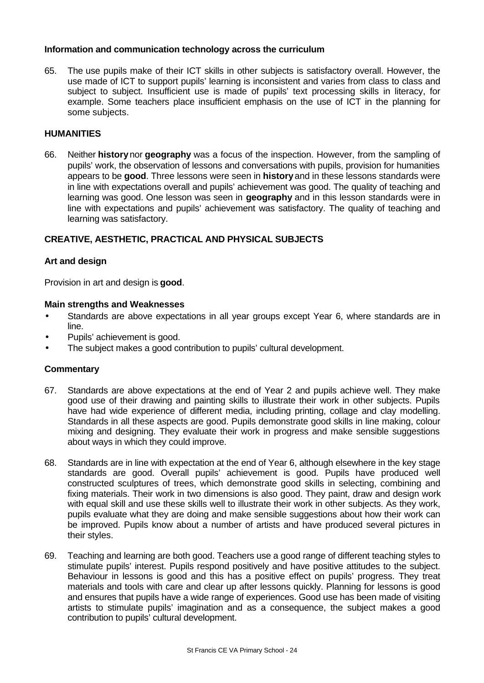#### **Information and communication technology across the curriculum**

65. The use pupils make of their ICT skills in other subjects is satisfactory overall. However, the use made of ICT to support pupils' learning is inconsistent and varies from class to class and subject to subject. Insufficient use is made of pupils' text processing skills in literacy, for example. Some teachers place insufficient emphasis on the use of ICT in the planning for some subjects.

# **HUMANITIES**

66. Neither **history** nor **geography** was a focus of the inspection. However, from the sampling of pupils' work, the observation of lessons and conversations with pupils, provision for humanities appears to be **good**. Three lessons were seen in **history** and in these lessons standards were in line with expectations overall and pupils' achievement was good. The quality of teaching and learning was good. One lesson was seen in **geography** and in this lesson standards were in line with expectations and pupils' achievement was satisfactory. The quality of teaching and learning was satisfactory.

# **CREATIVE, AESTHETIC, PRACTICAL AND PHYSICAL SUBJECTS**

#### **Art and design**

Provision in art and design is **good**.

#### **Main strengths and Weaknesses**

- Standards are above expectations in all year groups except Year 6, where standards are in line.
- Pupils' achievement is good.
- The subject makes a good contribution to pupils' cultural development.

- 67. Standards are above expectations at the end of Year 2 and pupils achieve well. They make good use of their drawing and painting skills to illustrate their work in other subjects. Pupils have had wide experience of different media, including printing, collage and clay modelling. Standards in all these aspects are good. Pupils demonstrate good skills in line making, colour mixing and designing. They evaluate their work in progress and make sensible suggestions about ways in which they could improve.
- 68. Standards are in line with expectation at the end of Year 6, although elsewhere in the key stage standards are good. Overall pupils' achievement is good. Pupils have produced well constructed sculptures of trees, which demonstrate good skills in selecting, combining and fixing materials. Their work in two dimensions is also good. They paint, draw and design work with equal skill and use these skills well to illustrate their work in other subjects. As they work, pupils evaluate what they are doing and make sensible suggestions about how their work can be improved. Pupils know about a number of artists and have produced several pictures in their styles.
- 69. Teaching and learning are both good. Teachers use a good range of different teaching styles to stimulate pupils' interest. Pupils respond positively and have positive attitudes to the subject. Behaviour in lessons is good and this has a positive effect on pupils' progress. They treat materials and tools with care and clear up after lessons quickly. Planning for lessons is good and ensures that pupils have a wide range of experiences. Good use has been made of visiting artists to stimulate pupils' imagination and as a consequence, the subject makes a good contribution to pupils' cultural development.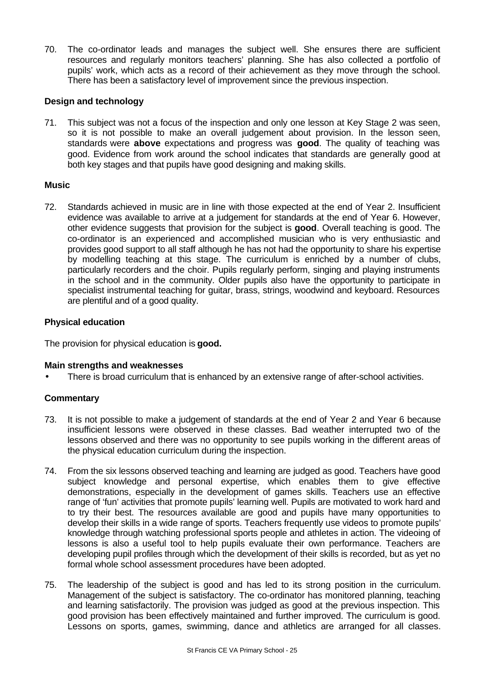70. The co-ordinator leads and manages the subject well. She ensures there are sufficient resources and regularly monitors teachers' planning. She has also collected a portfolio of pupils' work, which acts as a record of their achievement as they move through the school. There has been a satisfactory level of improvement since the previous inspection.

# **Design and technology**

71. This subject was not a focus of the inspection and only one lesson at Key Stage 2 was seen, so it is not possible to make an overall judgement about provision. In the lesson seen, standards were **above** expectations and progress was **good**. The quality of teaching was good. Evidence from work around the school indicates that standards are generally good at both key stages and that pupils have good designing and making skills.

# **Music**

72. Standards achieved in music are in line with those expected at the end of Year 2. Insufficient evidence was available to arrive at a judgement for standards at the end of Year 6. However, other evidence suggests that provision for the subject is **good**. Overall teaching is good. The co-ordinator is an experienced and accomplished musician who is very enthusiastic and provides good support to all staff although he has not had the opportunity to share his expertise by modelling teaching at this stage. The curriculum is enriched by a number of clubs, particularly recorders and the choir. Pupils regularly perform, singing and playing instruments in the school and in the community. Older pupils also have the opportunity to participate in specialist instrumental teaching for guitar, brass, strings, woodwind and keyboard. Resources are plentiful and of a good quality.

# **Physical education**

The provision for physical education is **good.**

# **Main strengths and weaknesses**

There is broad curriculum that is enhanced by an extensive range of after-school activities.

- 73. It is not possible to make a judgement of standards at the end of Year 2 and Year 6 because insufficient lessons were observed in these classes. Bad weather interrupted two of the lessons observed and there was no opportunity to see pupils working in the different areas of the physical education curriculum during the inspection.
- 74. From the six lessons observed teaching and learning are judged as good. Teachers have good subject knowledge and personal expertise, which enables them to give effective demonstrations, especially in the development of games skills. Teachers use an effective range of 'fun' activities that promote pupils' learning well. Pupils are motivated to work hard and to try their best. The resources available are good and pupils have many opportunities to develop their skills in a wide range of sports. Teachers frequently use videos to promote pupils' knowledge through watching professional sports people and athletes in action. The videoing of lessons is also a useful tool to help pupils evaluate their own performance. Teachers are developing pupil profiles through which the development of their skills is recorded, but as yet no formal whole school assessment procedures have been adopted.
- 75. The leadership of the subject is good and has led to its strong position in the curriculum. Management of the subject is satisfactory. The co-ordinator has monitored planning, teaching and learning satisfactorily. The provision was judged as good at the previous inspection. This good provision has been effectively maintained and further improved. The curriculum is good. Lessons on sports, games, swimming, dance and athletics are arranged for all classes.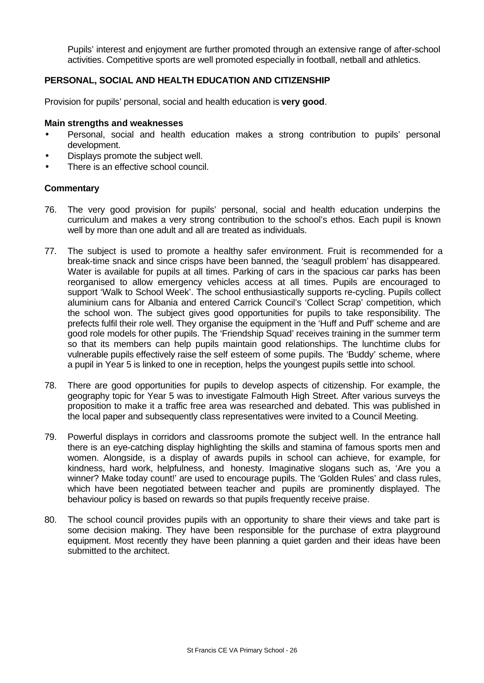Pupils' interest and enjoyment are further promoted through an extensive range of after-school activities. Competitive sports are well promoted especially in football, netball and athletics.

# **PERSONAL, SOCIAL AND HEALTH EDUCATION AND CITIZENSHIP**

Provision for pupils' personal, social and health education is **very good**.

#### **Main strengths and weaknesses**

- Personal, social and health education makes a strong contribution to pupils' personal development.
- Displays promote the subject well.
- There is an effective school council.

- 76. The very good provision for pupils' personal, social and health education underpins the curriculum and makes a very strong contribution to the school's ethos. Each pupil is known well by more than one adult and all are treated as individuals.
- 77. The subject is used to promote a healthy safer environment. Fruit is recommended for a break-time snack and since crisps have been banned, the 'seagull problem' has disappeared. Water is available for pupils at all times. Parking of cars in the spacious car parks has been reorganised to allow emergency vehicles access at all times. Pupils are encouraged to support 'Walk to School Week'. The school enthusiastically supports re-cycling. Pupils collect aluminium cans for Albania and entered Carrick Council's 'Collect Scrap' competition, which the school won. The subject gives good opportunities for pupils to take responsibility. The prefects fulfil their role well. They organise the equipment in the 'Huff and Puff' scheme and are good role models for other pupils. The 'Friendship Squad' receives training in the summer term so that its members can help pupils maintain good relationships. The lunchtime clubs for vulnerable pupils effectively raise the self esteem of some pupils. The 'Buddy' scheme, where a pupil in Year 5 is linked to one in reception, helps the youngest pupils settle into school.
- 78. There are good opportunities for pupils to develop aspects of citizenship. For example, the geography topic for Year 5 was to investigate Falmouth High Street. After various surveys the proposition to make it a traffic free area was researched and debated. This was published in the local paper and subsequently class representatives were invited to a Council Meeting.
- 79. Powerful displays in corridors and classrooms promote the subject well. In the entrance hall there is an eye-catching display highlighting the skills and stamina of famous sports men and women. Alongside, is a display of awards pupils in school can achieve, for example, for kindness, hard work, helpfulness, and honesty. Imaginative slogans such as, 'Are you a winner? Make today count!' are used to encourage pupils. The 'Golden Rules' and class rules, which have been negotiated between teacher and pupils are prominently displayed. The behaviour policy is based on rewards so that pupils frequently receive praise.
- 80. The school council provides pupils with an opportunity to share their views and take part is some decision making. They have been responsible for the purchase of extra playground equipment. Most recently they have been planning a quiet garden and their ideas have been submitted to the architect.